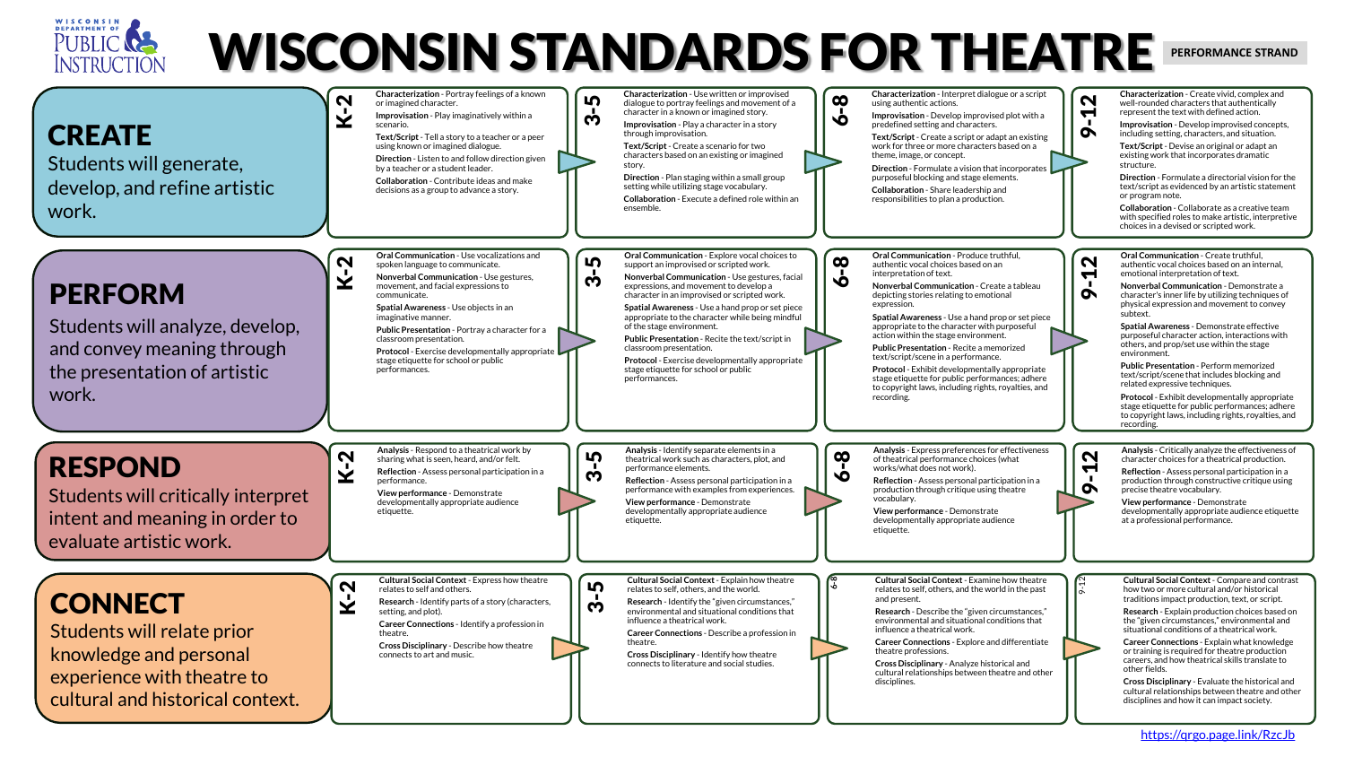



<https://qrgo.page.link/RzcJb>